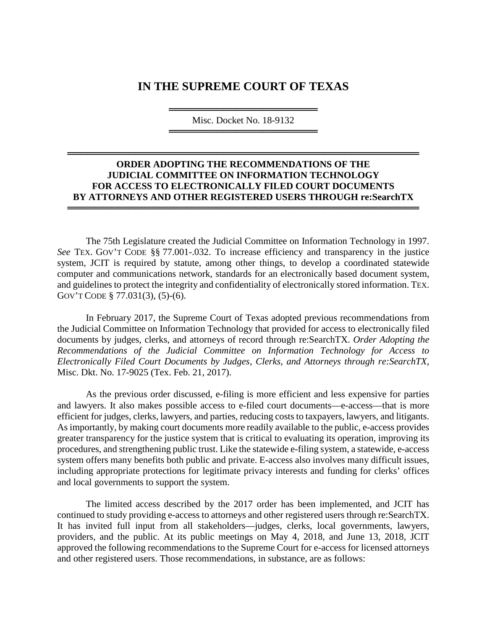## **IN THE SUPREME COURT OF TEXAS**

══════════════════════════════════════ Misc. Docket No. 18-9132 ══════════════════════════════════════

## **ORDER ADOPTING THE RECOMMENDATIONS OF THE JUDICIAL COMMITTEE ON INFORMATION TECHNOLOGY FOR ACCESS TO ELECTRONICALLY FILED COURT DOCUMENTS BY ATTORNEYS AND OTHER REGISTERED USERS THROUGH re:SearchTX**

════════════════════════════════════════════════════

════════════════════════════════════════════════════

The 75th Legislature created the Judicial Committee on Information Technology in 1997. *See* TEX. GOV'T CODE §§ 77.001-.032. To increase efficiency and transparency in the justice system, JCIT is required by statute, among other things, to develop a coordinated statewide computer and communications network, standards for an electronically based document system, and guidelines to protect the integrity and confidentiality of electronically stored information. TEX. GOV'T CODE § 77.031(3), (5)-(6).

In February 2017, the Supreme Court of Texas adopted previous recommendations from the Judicial Committee on Information Technology that provided for access to electronically filed documents by judges, clerks, and attorneys of record through re:SearchTX. *Order Adopting the Recommendations of the Judicial Committee on Information Technology for Access to Electronically Filed Court Documents by Judges, Clerks, and Attorneys through re:SearchTX*, Misc. Dkt. No. 17-9025 (Tex. Feb. 21, 2017).

As the previous order discussed, e-filing is more efficient and less expensive for parties and lawyers. It also makes possible access to e-filed court documents—e-access—that is more efficient for judges, clerks, lawyers, and parties, reducing costs to taxpayers, lawyers, and litigants. As importantly, by making court documents more readily available to the public, e-access provides greater transparency for the justice system that is critical to evaluating its operation, improving its procedures, and strengthening public trust. Like the statewide e-filing system, a statewide, e-access system offers many benefits both public and private. E-access also involves many difficult issues, including appropriate protections for legitimate privacy interests and funding for clerks' offices and local governments to support the system.

The limited access described by the 2017 order has been implemented, and JCIT has continued to study providing e-access to attorneys and other registered users through re:SearchTX. It has invited full input from all stakeholders—judges, clerks, local governments, lawyers, providers, and the public. At its public meetings on May 4, 2018, and June 13, 2018, JCIT approved the following recommendations to the Supreme Court for e-access for licensed attorneys and other registered users. Those recommendations, in substance, are as follows: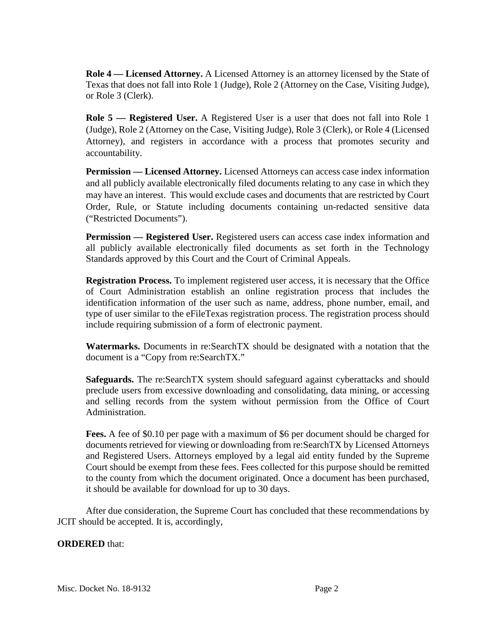**Role 4 — Licensed Attorney.** A Licensed Attorney is an attorney licensed by the State of Texas that does not fall into Role 1 (Judge), Role 2 (Attorney on the Case, Visiting Judge), or Role 3 (Clerk).

**Role 5 — Registered User.** A Registered User is a user that does not fall into Role 1 (Judge), Role 2 (Attorney on the Case, Visiting Judge), Role 3 (Clerk), or Role 4 (Licensed Attorney), and registers in accordance with a process that promotes security and accountability.

**Permission — Licensed Attorney.** Licensed Attorneys can access case index information and all publicly available electronically filed documents relating to any case in which they may have an interest. This would exclude cases and documents that are restricted by Court Order, Rule, or Statute including documents containing un-redacted sensitive data ("Restricted Documents").

**Permission — Registered User.** Registered users can access case index information and all publicly available electronically filed documents as set forth in the Technology Standards approved by this Court and the Court of Criminal Appeals.

**Registration Process.** To implement registered user access, it is necessary that the Office of Court Administration establish an online registration process that includes the identification information of the user such as name, address, phone number, email, and type of user similar to the eFileTexas registration process. The registration process should include requiring submission of a form of electronic payment.

**Watermarks.** Documents in re:SearchTX should be designated with a notation that the document is a "Copy from re:SearchTX."

**Safeguards.** The re:SearchTX system should safeguard against cyberattacks and should preclude users from excessive downloading and consolidating, data mining, or accessing and selling records from the system without permission from the Office of Court Administration.

**Fees.** A fee of \$0.10 per page with a maximum of \$6 per document should be charged for documents retrieved for viewing or downloading from re:SearchTX by Licensed Attorneys and Registered Users. Attorneys employed by a legal aid entity funded by the Supreme Court should be exempt from these fees. Fees collected for this purpose should be remitted to the county from which the document originated. Once a document has been purchased, it should be available for download for up to 30 days.

After due consideration, the Supreme Court has concluded that these recommendations by JCIT should be accepted. It is, accordingly,

## **ORDERED** that: